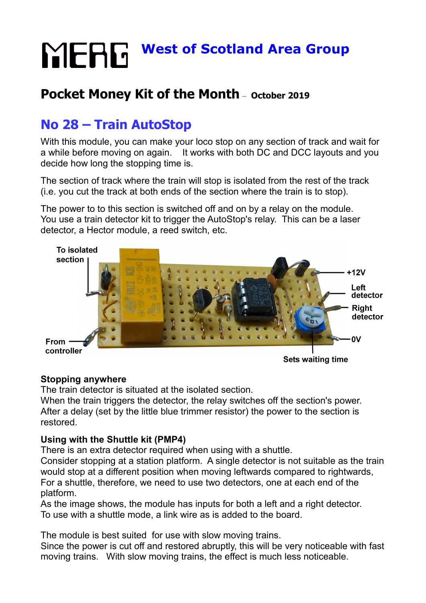# **MERG** West of Scotland Area Group

### **Pocket Money Kit of the Month** – **October 2019**

## **No 28 – Train AutoStop**

With this module, you can make your loco stop on any section of track and wait for a while before moving on again. It works with both DC and DCC layouts and you decide how long the stopping time is.

The section of track where the train will stop is isolated from the rest of the track (i.e. you cut the track at both ends of the section where the train is to stop).

The power to to this section is switched off and on by a relay on the module. You use a train detector kit to trigger the AutoStop's relay. This can be a laser detector, a Hector module, a reed switch, etc.



**Sets waiting time** 

#### **Stopping anywhere**

The train detector is situated at the isolated section.

When the train triggers the detector, the relay switches off the section's power. After a delay (set by the little blue trimmer resistor) the power to the section is restored.

#### **Using with the Shuttle kit (PMP4)**

There is an extra detector required when using with a shuttle.

Consider stopping at a station platform. A single detector is not suitable as the train would stop at a different position when moving leftwards compared to rightwards, For a shuttle, therefore, we need to use two detectors, one at each end of the platform.

As the image shows, the module has inputs for both a left and a right detector. To use with a shuttle mode, a link wire as is added to the board.

The module is best suited for use with slow moving trains.

Since the power is cut off and restored abruptly, this will be very noticeable with fast moving trains. With slow moving trains, the effect is much less noticeable.